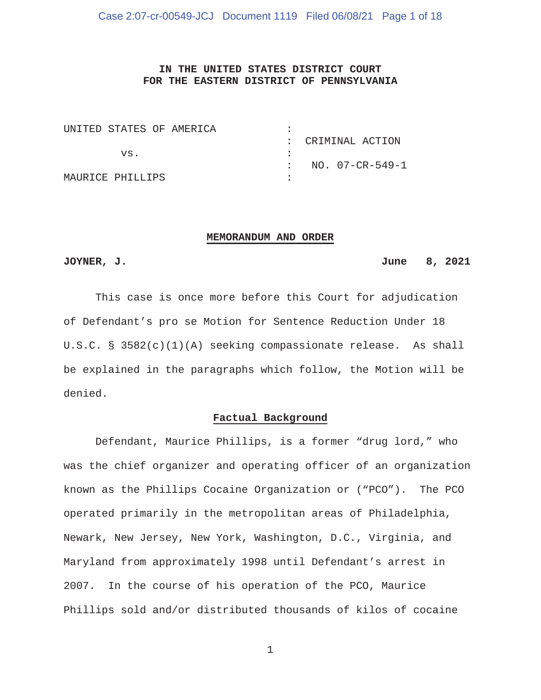# **IN THE UNITED STATES DISTRICT COURT FOR THE EASTERN DISTRICT OF PENNSYLVANIA**

| UNITED STATES OF AMERICA |  |                   |
|--------------------------|--|-------------------|
|                          |  | : CRIMINAL ACTION |
| VS.                      |  |                   |
|                          |  | NO. 07-CR-549-1   |
| MAURICE PHILLIPS         |  |                   |

#### **MEMORANDUM AND ORDER**

## **JOYNER, J. June 8, 2021**

 This case is once more before this Court for adjudication of Defendant's pro se Motion for Sentence Reduction Under 18 U.S.C. § 3582(c)(1)(A) seeking compassionate release. As shall be explained in the paragraphs which follow, the Motion will be denied.

#### **Factual Background**

 Defendant, Maurice Phillips, is a former "drug lord," who was the chief organizer and operating officer of an organization known as the Phillips Cocaine Organization or ("PCO"). The PCO operated primarily in the metropolitan areas of Philadelphia, Newark, New Jersey, New York, Washington, D.C., Virginia, and Maryland from approximately 1998 until Defendant's arrest in 2007. In the course of his operation of the PCO, Maurice Phillips sold and/or distributed thousands of kilos of cocaine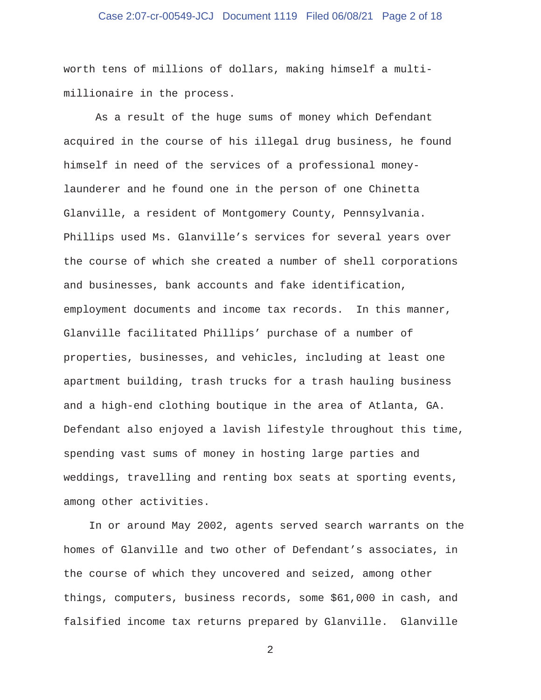# Case 2:07-cr-00549-JCJ Document 1119 Filed 06/08/21 Page 2 of 18

worth tens of millions of dollars, making himself a multimillionaire in the process.

 As a result of the huge sums of money which Defendant acquired in the course of his illegal drug business, he found himself in need of the services of a professional moneylaunderer and he found one in the person of one Chinetta Glanville, a resident of Montgomery County, Pennsylvania. Phillips used Ms. Glanville's services for several years over the course of which she created a number of shell corporations and businesses, bank accounts and fake identification, employment documents and income tax records. In this manner, Glanville facilitated Phillips' purchase of a number of properties, businesses, and vehicles, including at least one apartment building, trash trucks for a trash hauling business and a high-end clothing boutique in the area of Atlanta, GA. Defendant also enjoyed a lavish lifestyle throughout this time, spending vast sums of money in hosting large parties and weddings, travelling and renting box seats at sporting events, among other activities.

 In or around May 2002, agents served search warrants on the homes of Glanville and two other of Defendant's associates, in the course of which they uncovered and seized, among other things, computers, business records, some \$61,000 in cash, and falsified income tax returns prepared by Glanville. Glanville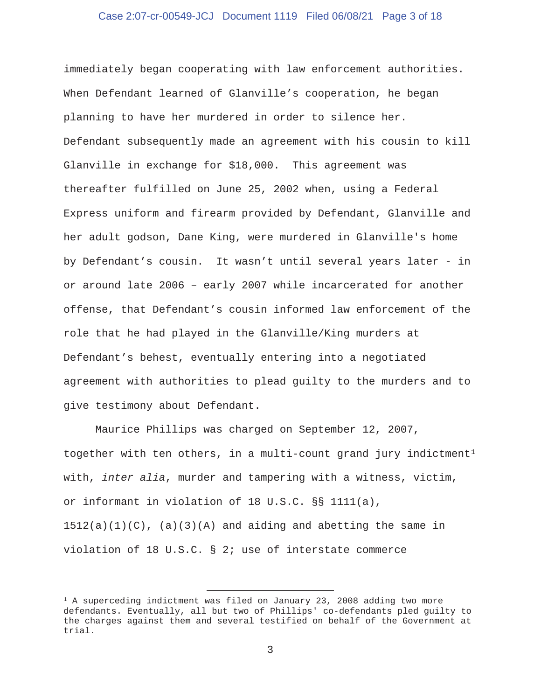### Case 2:07-cr-00549-JCJ Document 1119 Filed 06/08/21 Page 3 of 18

immediately began cooperating with law enforcement authorities. When Defendant learned of Glanville's cooperation, he began planning to have her murdered in order to silence her. Defendant subsequently made an agreement with his cousin to kill Glanville in exchange for \$18,000. This agreement was thereafter fulfilled on June 25, 2002 when, using a Federal Express uniform and firearm provided by Defendant, Glanville and her adult godson, Dane King, were murdered in Glanville's home by Defendant's cousin. It wasn't until several years later - in or around late 2006 – early 2007 while incarcerated for another offense, that Defendant's cousin informed law enforcement of the role that he had played in the Glanville/King murders at Defendant's behest, eventually entering into a negotiated agreement with authorities to plead guilty to the murders and to give testimony about Defendant.

 Maurice Phillips was charged on September 12, 2007, together with ten others, in a multi-count grand jury indictment<sup>1</sup> with, *inter alia*, murder and tampering with a witness, victim, or informant in violation of 18 U.S.C. §§ 1111(a),  $1512(a)(1)(C)$ ,  $(a)(3)(A)$  and aiding and abetting the same in violation of 18 U.S.C. § 2; use of interstate commerce

 $1$  A superceding indictment was filed on January 23, 2008 adding two more defendants. Eventually, all but two of Phillips' co-defendants pled guilty to the charges against them and several testified on behalf of the Government at trial.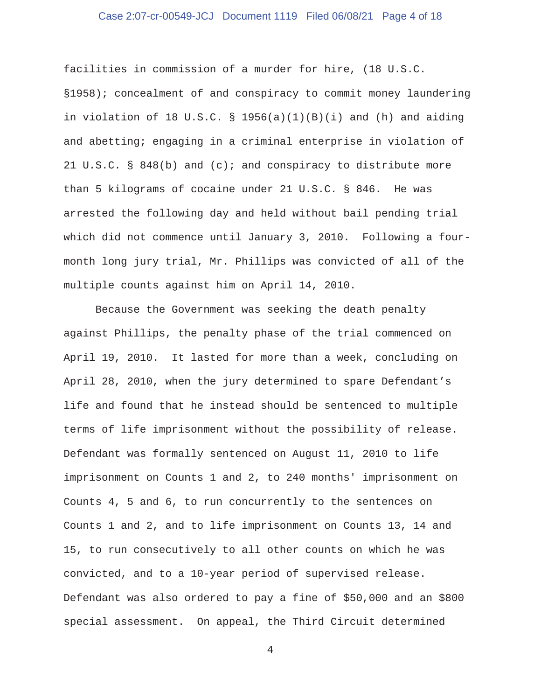# Case 2:07-cr-00549-JCJ Document 1119 Filed 06/08/21 Page 4 of 18

facilities in commission of a murder for hire, (18 U.S.C. §1958); concealment of and conspiracy to commit money laundering in violation of 18 U.S.C. § 1956(a)(1)(B)(i) and (h) and aiding and abetting; engaging in a criminal enterprise in violation of 21 U.S.C. § 848(b) and (c); and conspiracy to distribute more than 5 kilograms of cocaine under 21 U.S.C. § 846. He was arrested the following day and held without bail pending trial which did not commence until January 3, 2010. Following a fourmonth long jury trial, Mr. Phillips was convicted of all of the multiple counts against him on April 14, 2010.

 Because the Government was seeking the death penalty against Phillips, the penalty phase of the trial commenced on April 19, 2010. It lasted for more than a week, concluding on April 28, 2010, when the jury determined to spare Defendant's life and found that he instead should be sentenced to multiple terms of life imprisonment without the possibility of release. Defendant was formally sentenced on August 11, 2010 to life imprisonment on Counts 1 and 2, to 240 months' imprisonment on Counts 4, 5 and 6, to run concurrently to the sentences on Counts 1 and 2, and to life imprisonment on Counts 13, 14 and 15, to run consecutively to all other counts on which he was convicted, and to a 10-year period of supervised release. Defendant was also ordered to pay a fine of \$50,000 and an \$800 special assessment. On appeal, the Third Circuit determined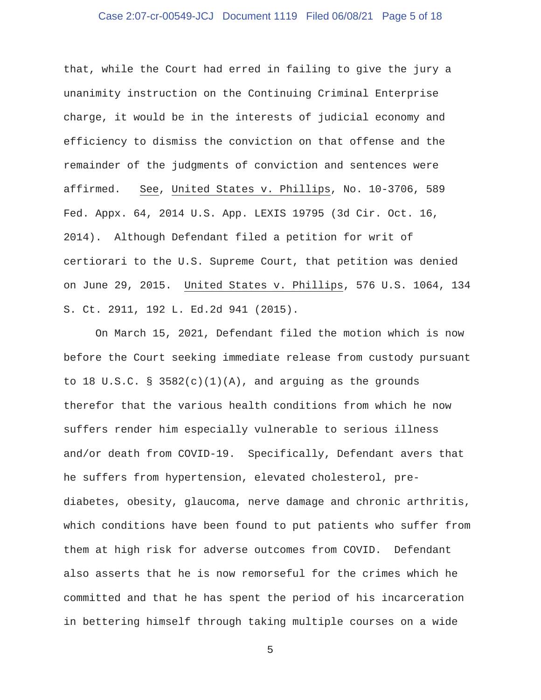# Case 2:07-cr-00549-JCJ Document 1119 Filed 06/08/21 Page 5 of 18

that, while the Court had erred in failing to give the jury a unanimity instruction on the Continuing Criminal Enterprise charge, it would be in the interests of judicial economy and efficiency to dismiss the conviction on that offense and the remainder of the judgments of conviction and sentences were affirmed. See, United States v. Phillips, No. 10-3706, 589 Fed. Appx. 64, 2014 U.S. App. LEXIS 19795 (3d Cir. Oct. 16, 2014). Although Defendant filed a petition for writ of certiorari to the U.S. Supreme Court, that petition was denied on June 29, 2015. United States v. Phillips, 576 U.S. 1064, 134 S. Ct. 2911, 192 L. Ed.2d 941 (2015).

 On March 15, 2021, Defendant filed the motion which is now before the Court seeking immediate release from custody pursuant to 18 U.S.C.  $\S$  3582(c)(1)(A), and arguing as the grounds therefor that the various health conditions from which he now suffers render him especially vulnerable to serious illness and/or death from COVID-19. Specifically, Defendant avers that he suffers from hypertension, elevated cholesterol, prediabetes, obesity, glaucoma, nerve damage and chronic arthritis, which conditions have been found to put patients who suffer from them at high risk for adverse outcomes from COVID. Defendant also asserts that he is now remorseful for the crimes which he committed and that he has spent the period of his incarceration in bettering himself through taking multiple courses on a wide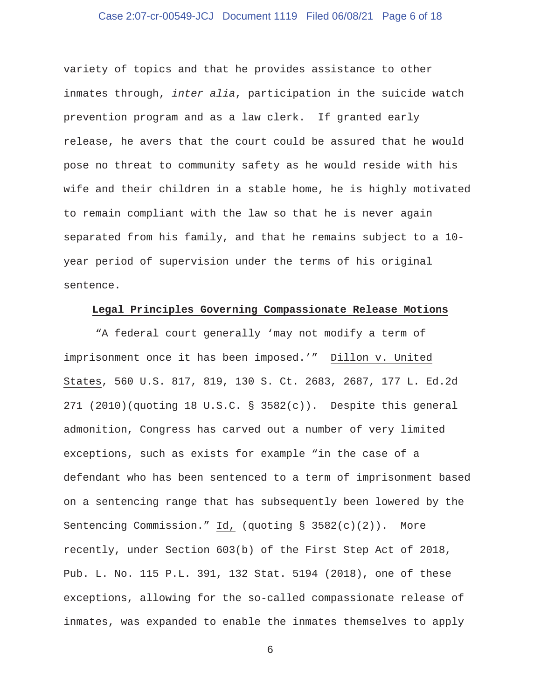# Case 2:07-cr-00549-JCJ Document 1119 Filed 06/08/21 Page 6 of 18

variety of topics and that he provides assistance to other inmates through, *inter alia*, participation in the suicide watch prevention program and as a law clerk. If granted early release, he avers that the court could be assured that he would pose no threat to community safety as he would reside with his wife and their children in a stable home, he is highly motivated to remain compliant with the law so that he is never again separated from his family, and that he remains subject to a 10 year period of supervision under the terms of his original sentence.

### **Legal Principles Governing Compassionate Release Motions**

 "A federal court generally 'may not modify a term of imprisonment once it has been imposed.'" Dillon v. United States, 560 U.S. 817, 819, 130 S. Ct. 2683, 2687, 177 L. Ed.2d 271 (2010)(quoting 18 U.S.C. § 3582(c)). Despite this general admonition, Congress has carved out a number of very limited exceptions, such as exists for example "in the case of a defendant who has been sentenced to a term of imprisonment based on a sentencing range that has subsequently been lowered by the Sentencing Commission." Id, (quoting § 3582(c)(2)). More recently, under Section 603(b) of the First Step Act of 2018, Pub. L. No. 115 P.L. 391, 132 Stat. 5194 (2018), one of these exceptions, allowing for the so-called compassionate release of inmates, was expanded to enable the inmates themselves to apply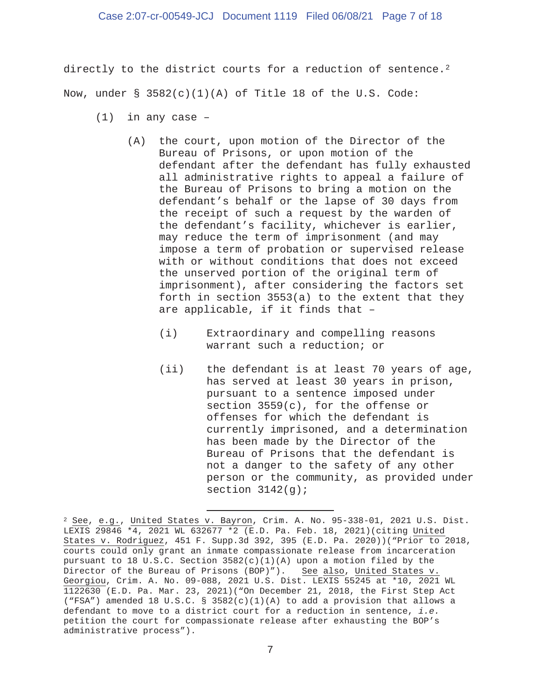directly to the district courts for a reduction of sentence.<sup>2</sup> Now, under  $\S$  3582(c)(1)(A) of Title 18 of the U.S. Code:

- $(1)$  in any case -
	- (A) the court, upon motion of the Director of the Bureau of Prisons, or upon motion of the defendant after the defendant has fully exhausted all administrative rights to appeal a failure of the Bureau of Prisons to bring a motion on the defendant's behalf or the lapse of 30 days from the receipt of such a request by the warden of the defendant's facility, whichever is earlier, may reduce the term of imprisonment (and may impose a term of probation or supervised release with or without conditions that does not exceed the unserved portion of the original term of imprisonment), after considering the factors set forth in section 3553(a) to the extent that they are applicable, if it finds that –
		- (i) Extraordinary and compelling reasons warrant such a reduction; or
		- (ii) the defendant is at least 70 years of age, has served at least 30 years in prison, pursuant to a sentence imposed under section 3559(c), for the offense or offenses for which the defendant is currently imprisoned, and a determination has been made by the Director of the Bureau of Prisons that the defendant is not a danger to the safety of any other person or the community, as provided under section  $3142(g)$ ;

<sup>2</sup> See, e.g., United States v. Bayron, Crim. A. No. 95-338-01, 2021 U.S. Dist. LEXIS 29846 \*4, 2021 WL 632677 \*2 (E.D. Pa. Feb. 18, 2021)(citing United States v. Rodriguez, 451 F. Supp.3d 392, 395 (E.D. Pa. 2020))("Prior to 2018, courts could only grant an inmate compassionate release from incarceration pursuant to 18 U.S.C. Section 3582(c)(1)(A) upon a motion filed by the Director of the Bureau of Prisons (BOP)"). See also, United States v. Georgiou, Crim. A. No. 09-088, 2021 U.S. Dist. LEXIS 55245 at \*10, 2021 WL 1122630 (E.D. Pa. Mar. 23, 2021)("On December 21, 2018, the First Step Act ("FSA") amended 18 U.S.C. § 3582(c)(1)(A) to add a provision that allows a defendant to move to a district court for a reduction in sentence, *i.e.*  petition the court for compassionate release after exhausting the BOP's administrative process").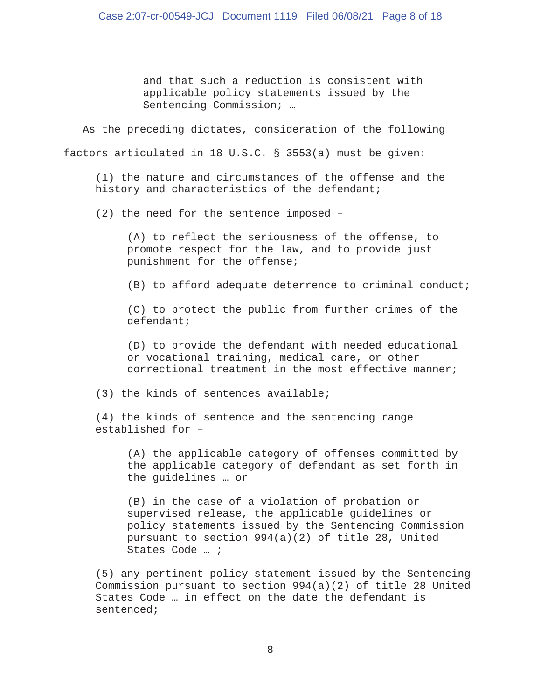and that such a reduction is consistent with applicable policy statements issued by the Sentencing Commission; …

 As the preceding dictates, consideration of the following factors articulated in 18 U.S.C. § 3553(a) must be given:

 (1) the nature and circumstances of the offense and the history and characteristics of the defendant;

(2) the need for the sentence imposed –

 (A) to reflect the seriousness of the offense, to promote respect for the law, and to provide just punishment for the offense;

(B) to afford adequate deterrence to criminal conduct;

 (C) to protect the public from further crimes of the defendant;

 (D) to provide the defendant with needed educational or vocational training, medical care, or other correctional treatment in the most effective manner;

(3) the kinds of sentences available;

 (4) the kinds of sentence and the sentencing range established for –

 (A) the applicable category of offenses committed by the applicable category of defendant as set forth in the guidelines … or

 (B) in the case of a violation of probation or supervised release, the applicable guidelines or policy statements issued by the Sentencing Commission pursuant to section 994(a)(2) of title 28, United States Code … ;

 (5) any pertinent policy statement issued by the Sentencing Commission pursuant to section 994(a)(2) of title 28 United States Code … in effect on the date the defendant is sentenced;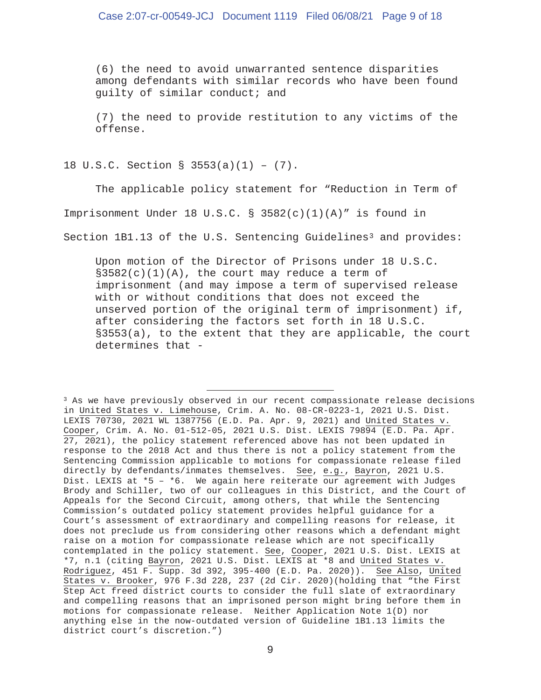(6) the need to avoid unwarranted sentence disparities among defendants with similar records who have been found guilty of similar conduct; and

 (7) the need to provide restitution to any victims of the offense.

18 U.S.C. Section § 3553(a)(1) – (7).

 The applicable policy statement for "Reduction in Term of Imprisonment Under 18 U.S.C. § 3582(c)(1)(A)" is found in

Section  $1B1.13$  of the U.S. Sentencing Guidelines<sup>3</sup> and provides:

 Upon motion of the Director of Prisons under 18 U.S.C.  $§3582(c)(1)(A)$ , the court may reduce a term of imprisonment (and may impose a term of supervised release with or without conditions that does not exceed the unserved portion of the original term of imprisonment) if, after considering the factors set forth in 18 U.S.C. §3553(a), to the extent that they are applicable, the court determines that -

<sup>&</sup>lt;sup>3</sup> As we have previously observed in our recent compassionate release decisions in United States v. Limehouse, Crim. A. No. 08-CR-0223-1, 2021 U.S. Dist. LEXIS 70730, 2021 WL 1387756 (E.D. Pa. Apr. 9, 2021) and United States v. Cooper, Crim. A. No. 01-512-05, 2021 U.S. Dist. LEXIS 79894 (E.D. Pa. Apr. 27, 2021), the policy statement referenced above has not been updated in response to the 2018 Act and thus there is not a policy statement from the Sentencing Commission applicable to motions for compassionate release filed directly by defendants/inmates themselves. See, e.g., Bayron, 2021 U.S. Dist. LEXIS at  $*5 - *6$ . We again here reiterate our agreement with Judges Brody and Schiller, two of our colleagues in this District, and the Court of Appeals for the Second Circuit, among others, that while the Sentencing Commission's outdated policy statement provides helpful guidance for a Court's assessment of extraordinary and compelling reasons for release, it does not preclude us from considering other reasons which a defendant might raise on a motion for compassionate release which are not specifically contemplated in the policy statement. See, Cooper, 2021 U.S. Dist. LEXIS at \*7, n.1 (citing Bayron, 2021 U.S. Dist. LEXIS at \*8 and United States v. Rodriguez, 451 F. Supp. 3d 392, 395-400 (E.D. Pa. 2020)). See Also, United States v. Brooker, 976 F.3d 228, 237 (2d Cir. 2020)(holding that "the First Step Act freed district courts to consider the full slate of extraordinary and compelling reasons that an imprisoned person might bring before them in motions for compassionate release. Neither Application Note 1(D) nor anything else in the now-outdated version of Guideline 1B1.13 limits the district court's discretion.")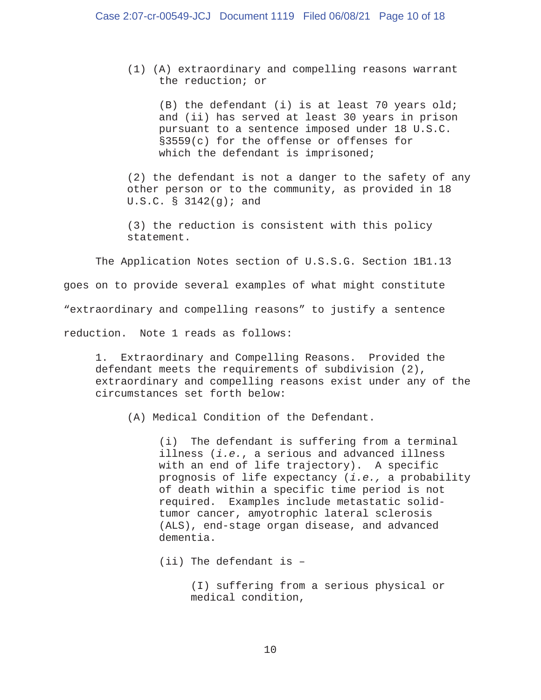(1) (A) extraordinary and compelling reasons warrant the reduction; or

 (B) the defendant (i) is at least 70 years old; and (ii) has served at least 30 years in prison pursuant to a sentence imposed under 18 U.S.C. §3559(c) for the offense or offenses for which the defendant is imprisoned;

 (2) the defendant is not a danger to the safety of any other person or to the community, as provided in 18 U.S.C.  $\S$  3142(g); and

 (3) the reduction is consistent with this policy statement.

 The Application Notes section of U.S.S.G. Section 1B1.13 goes on to provide several examples of what might constitute "extraordinary and compelling reasons" to justify a sentence reduction. Note 1 reads as follows:

 1. Extraordinary and Compelling Reasons. Provided the defendant meets the requirements of subdivision (2), extraordinary and compelling reasons exist under any of the circumstances set forth below:

(A) Medical Condition of the Defendant.

 (i) The defendant is suffering from a terminal illness (*i.e.*, a serious and advanced illness with an end of life trajectory). A specific prognosis of life expectancy (*i.e.,* a probability of death within a specific time period is not required. Examples include metastatic solid tumor cancer, amyotrophic lateral sclerosis (ALS), end-stage organ disease, and advanced dementia.

(ii) The defendant is –

 (I) suffering from a serious physical or medical condition,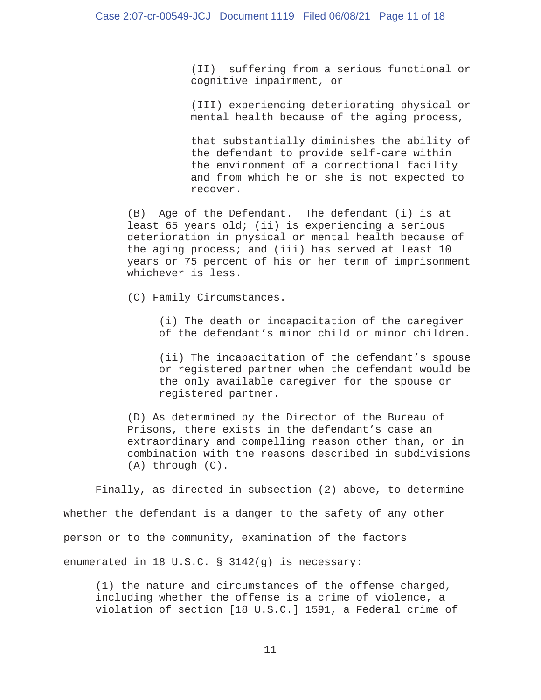(II) suffering from a serious functional or cognitive impairment, or

 (III) experiencing deteriorating physical or mental health because of the aging process,

 that substantially diminishes the ability of the defendant to provide self-care within the environment of a correctional facility and from which he or she is not expected to recover.

 (B) Age of the Defendant. The defendant (i) is at least 65 years old; (ii) is experiencing a serious deterioration in physical or mental health because of the aging process; and (iii) has served at least 10 years or 75 percent of his or her term of imprisonment whichever is less.

(C) Family Circumstances.

 (i) The death or incapacitation of the caregiver of the defendant's minor child or minor children.

 (ii) The incapacitation of the defendant's spouse or registered partner when the defendant would be the only available caregiver for the spouse or registered partner.

 (D) As determined by the Director of the Bureau of Prisons, there exists in the defendant's case an extraordinary and compelling reason other than, or in combination with the reasons described in subdivisions (A) through (C).

 Finally, as directed in subsection (2) above, to determine whether the defendant is a danger to the safety of any other person or to the community, examination of the factors enumerated in 18 U.S.C. § 3142(g) is necessary:

 (1) the nature and circumstances of the offense charged, including whether the offense is a crime of violence, a violation of section [18 U.S.C.] 1591, a Federal crime of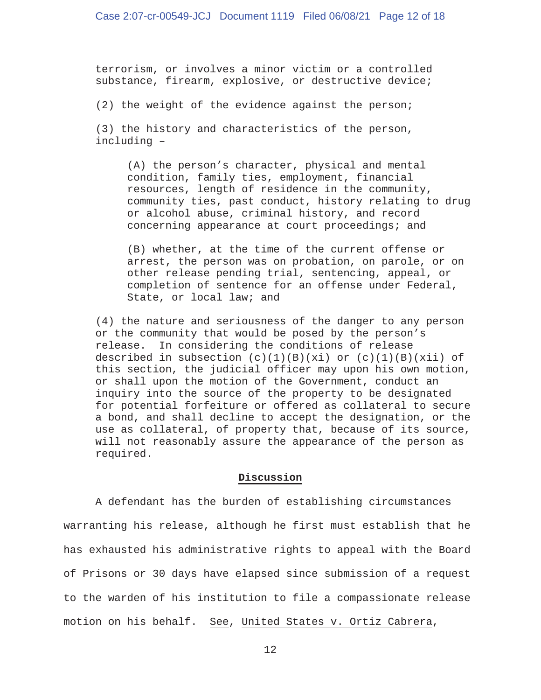terrorism, or involves a minor victim or a controlled substance, firearm, explosive, or destructive device;

(2) the weight of the evidence against the person;

 (3) the history and characteristics of the person, including –

 (A) the person's character, physical and mental condition, family ties, employment, financial resources, length of residence in the community, community ties, past conduct, history relating to drug or alcohol abuse, criminal history, and record concerning appearance at court proceedings; and

 (B) whether, at the time of the current offense or arrest, the person was on probation, on parole, or on other release pending trial, sentencing, appeal, or completion of sentence for an offense under Federal, State, or local law; and

 (4) the nature and seriousness of the danger to any person or the community that would be posed by the person's release. In considering the conditions of release described in subsection  $(c)(1)(B)(xi)$  or  $(c)(1)(B)(xii)$  of this section, the judicial officer may upon his own motion, or shall upon the motion of the Government, conduct an inquiry into the source of the property to be designated for potential forfeiture or offered as collateral to secure a bond, and shall decline to accept the designation, or the use as collateral, of property that, because of its source, will not reasonably assure the appearance of the person as required.

### **Discussion**

 A defendant has the burden of establishing circumstances warranting his release, although he first must establish that he has exhausted his administrative rights to appeal with the Board of Prisons or 30 days have elapsed since submission of a request to the warden of his institution to file a compassionate release motion on his behalf. See, United States v. Ortiz Cabrera,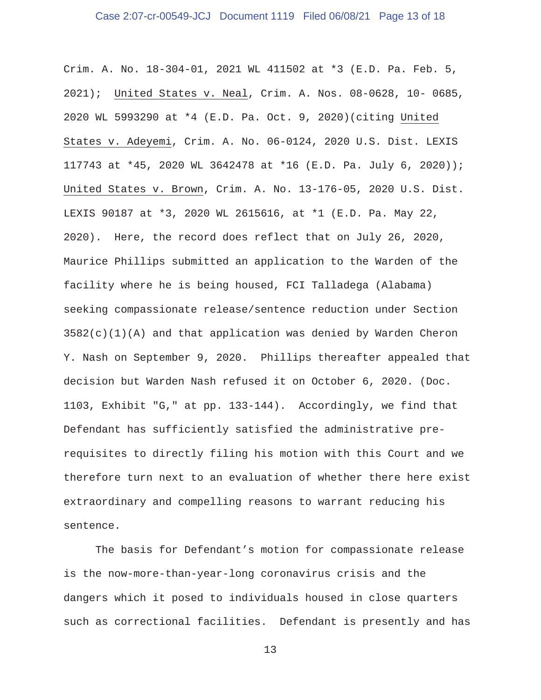Crim. A. No. 18-304-01, 2021 WL 411502 at \*3 (E.D. Pa. Feb. 5, 2021); United States v. Neal, Crim. A. Nos. 08-0628, 10- 0685, 2020 WL 5993290 at \*4 (E.D. Pa. Oct. 9, 2020)(citing United States v. Adeyemi, Crim. A. No. 06-0124, 2020 U.S. Dist. LEXIS 117743 at \*45, 2020 WL 3642478 at \*16 (E.D. Pa. July 6, 2020)); United States v. Brown, Crim. A. No. 13-176-05, 2020 U.S. Dist. LEXIS 90187 at \*3, 2020 WL 2615616, at \*1 (E.D. Pa. May 22, 2020). Here, the record does reflect that on July 26, 2020, Maurice Phillips submitted an application to the Warden of the facility where he is being housed, FCI Talladega (Alabama) seeking compassionate release/sentence reduction under Section  $3582(c)(1)(A)$  and that application was denied by Warden Cheron Y. Nash on September 9, 2020. Phillips thereafter appealed that decision but Warden Nash refused it on October 6, 2020. (Doc. 1103, Exhibit "G," at pp. 133-144). Accordingly, we find that Defendant has sufficiently satisfied the administrative prerequisites to directly filing his motion with this Court and we therefore turn next to an evaluation of whether there here exist extraordinary and compelling reasons to warrant reducing his sentence.

 The basis for Defendant's motion for compassionate release is the now-more-than-year-long coronavirus crisis and the dangers which it posed to individuals housed in close quarters such as correctional facilities. Defendant is presently and has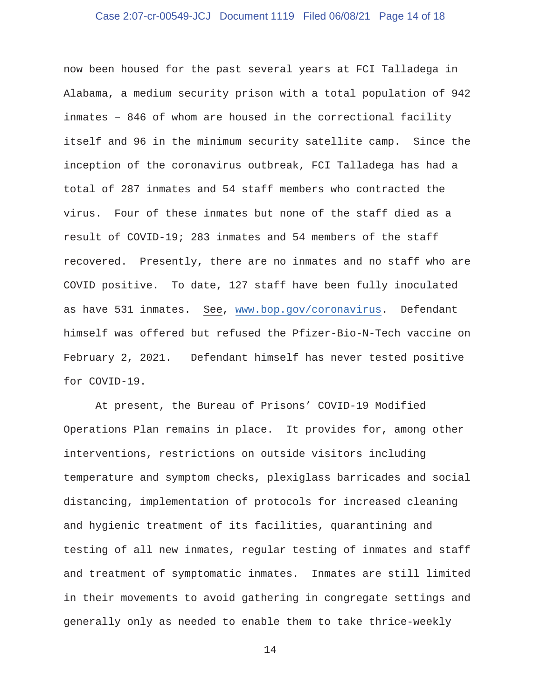# Case 2:07-cr-00549-JCJ Document 1119 Filed 06/08/21 Page 14 of 18

now been housed for the past several years at FCI Talladega in Alabama, a medium security prison with a total population of 942 inmates – 846 of whom are housed in the correctional facility itself and 96 in the minimum security satellite camp. Since the inception of the coronavirus outbreak, FCI Talladega has had a total of 287 inmates and 54 staff members who contracted the virus. Four of these inmates but none of the staff died as a result of COVID-19; 283 inmates and 54 members of the staff recovered. Presently, there are no inmates and no staff who are COVID positive. To date, 127 staff have been fully inoculated as have 531 inmates. See, www.bop.gov/coronavirus. Defendant himself was offered but refused the Pfizer-Bio-N-Tech vaccine on February 2, 2021. Defendant himself has never tested positive for COVID-19.

 At present, the Bureau of Prisons' COVID-19 Modified Operations Plan remains in place. It provides for, among other interventions, restrictions on outside visitors including temperature and symptom checks, plexiglass barricades and social distancing, implementation of protocols for increased cleaning and hygienic treatment of its facilities, quarantining and testing of all new inmates, regular testing of inmates and staff and treatment of symptomatic inmates. Inmates are still limited in their movements to avoid gathering in congregate settings and generally only as needed to enable them to take thrice-weekly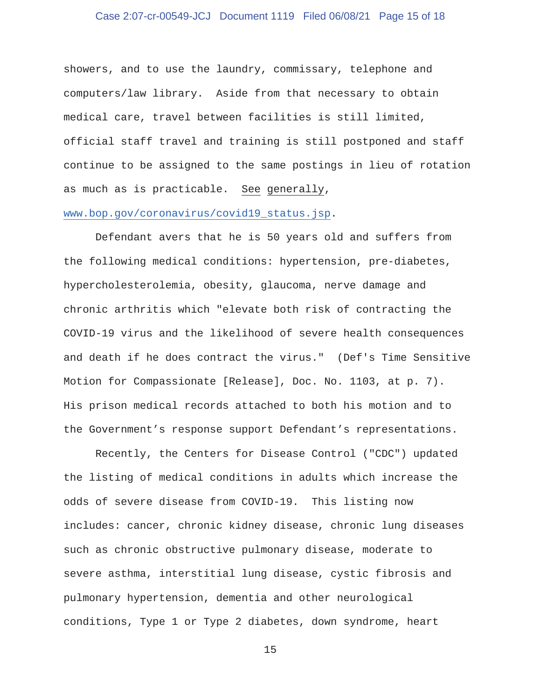# Case 2:07-cr-00549-JCJ Document 1119 Filed 06/08/21 Page 15 of 18

showers, and to use the laundry, commissary, telephone and computers/law library. Aside from that necessary to obtain medical care, travel between facilities is still limited, official staff travel and training is still postponed and staff continue to be assigned to the same postings in lieu of rotation as much as is practicable. See generally,

# www.bop.gov/coronavirus/covid19\_status.jsp.

 Defendant avers that he is 50 years old and suffers from the following medical conditions: hypertension, pre-diabetes, hypercholesterolemia, obesity, glaucoma, nerve damage and chronic arthritis which "elevate both risk of contracting the COVID-19 virus and the likelihood of severe health consequences and death if he does contract the virus." (Def's Time Sensitive Motion for Compassionate [Release], Doc. No. 1103, at p. 7). His prison medical records attached to both his motion and to the Government's response support Defendant's representations.

 Recently, the Centers for Disease Control ("CDC") updated the listing of medical conditions in adults which increase the odds of severe disease from COVID-19. This listing now includes: cancer, chronic kidney disease, chronic lung diseases such as chronic obstructive pulmonary disease, moderate to severe asthma, interstitial lung disease, cystic fibrosis and pulmonary hypertension, dementia and other neurological conditions, Type 1 or Type 2 diabetes, down syndrome, heart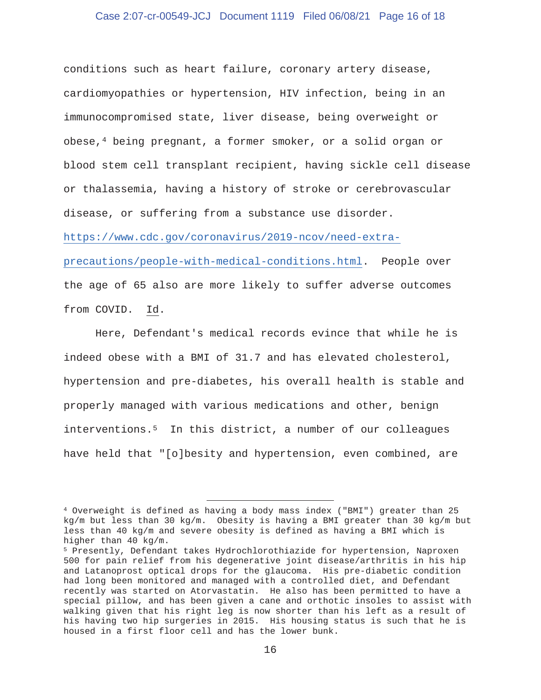# Case 2:07-cr-00549-JCJ Document 1119 Filed 06/08/21 Page 16 of 18

conditions such as heart failure, coronary artery disease, cardiomyopathies or hypertension, HIV infection, being in an immunocompromised state, liver disease, being overweight or obese,4 being pregnant, a former smoker, or a solid organ or blood stem cell transplant recipient, having sickle cell disease or thalassemia, having a history of stroke or cerebrovascular disease, or suffering from a substance use disorder. https://www.cdc.gov/coronavirus/2019-ncov/need-extra-

precautions/people-with-medical-conditions.html. People over the age of 65 also are more likely to suffer adverse outcomes from COVID. Id.

 Here, Defendant's medical records evince that while he is indeed obese with a BMI of 31.7 and has elevated cholesterol, hypertension and pre-diabetes, his overall health is stable and properly managed with various medications and other, benign interventions.5 In this district, a number of our colleagues have held that "[o]besity and hypertension, even combined, are

<sup>4</sup> Overweight is defined as having a body mass index ("BMI") greater than 25 kg/m but less than 30 kg/m. Obesity is having a BMI greater than 30 kg/m but less than 40 kg/m and severe obesity is defined as having a BMI which is higher than 40 kg/m.

<sup>5</sup> Presently, Defendant takes Hydrochlorothiazide for hypertension, Naproxen 500 for pain relief from his degenerative joint disease/arthritis in his hip and Latanoprost optical drops for the glaucoma. His pre-diabetic condition had long been monitored and managed with a controlled diet, and Defendant recently was started on Atorvastatin. He also has been permitted to have a special pillow, and has been given a cane and orthotic insoles to assist with walking given that his right leg is now shorter than his left as a result of his having two hip surgeries in 2015. His housing status is such that he is housed in a first floor cell and has the lower bunk.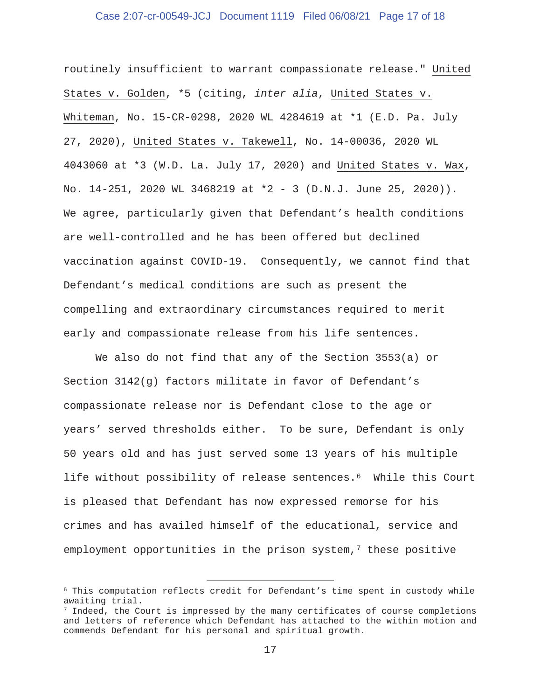# Case 2:07-cr-00549-JCJ Document 1119 Filed 06/08/21 Page 17 of 18

routinely insufficient to warrant compassionate release." United States v. Golden, \*5 (citing, *inter alia*, United States v. Whiteman, No. 15-CR-0298, 2020 WL 4284619 at \*1 (E.D. Pa. July 27, 2020), United States v. Takewell, No. 14-00036, 2020 WL 4043060 at \*3 (W.D. La. July 17, 2020) and United States v. Wax, No. 14-251, 2020 WL 3468219 at \*2 - 3 (D.N.J. June 25, 2020)). We agree, particularly given that Defendant's health conditions are well-controlled and he has been offered but declined vaccination against COVID-19. Consequently, we cannot find that Defendant's medical conditions are such as present the compelling and extraordinary circumstances required to merit early and compassionate release from his life sentences.

 We also do not find that any of the Section 3553(a) or Section 3142(g) factors militate in favor of Defendant's compassionate release nor is Defendant close to the age or years' served thresholds either. To be sure, Defendant is only 50 years old and has just served some 13 years of his multiple life without possibility of release sentences.6 While this Court is pleased that Defendant has now expressed remorse for his crimes and has availed himself of the educational, service and employment opportunities in the prison system, $7$  these positive

<sup>6</sup> This computation reflects credit for Defendant's time spent in custody while awaiting trial.

 $7$  Indeed, the Court is impressed by the many certificates of course completions and letters of reference which Defendant has attached to the within motion and commends Defendant for his personal and spiritual growth.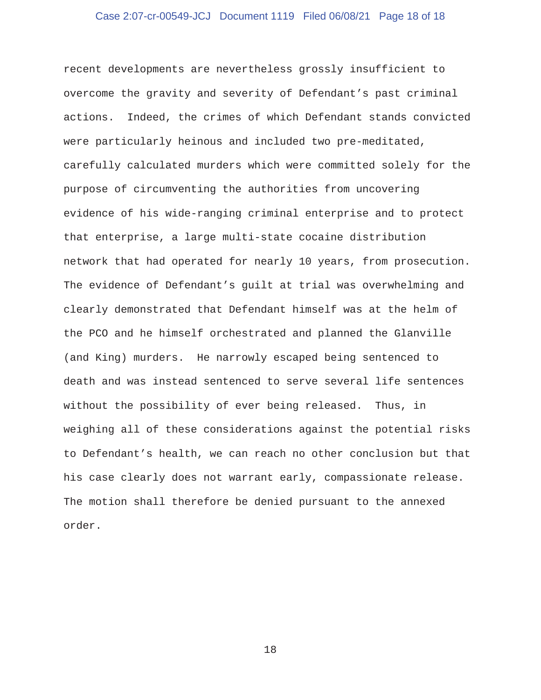# Case 2:07-cr-00549-JCJ Document 1119 Filed 06/08/21 Page 18 of 18

recent developments are nevertheless grossly insufficient to overcome the gravity and severity of Defendant's past criminal actions. Indeed, the crimes of which Defendant stands convicted were particularly heinous and included two pre-meditated, carefully calculated murders which were committed solely for the purpose of circumventing the authorities from uncovering evidence of his wide-ranging criminal enterprise and to protect that enterprise, a large multi-state cocaine distribution network that had operated for nearly 10 years, from prosecution. The evidence of Defendant's guilt at trial was overwhelming and clearly demonstrated that Defendant himself was at the helm of the PCO and he himself orchestrated and planned the Glanville (and King) murders. He narrowly escaped being sentenced to death and was instead sentenced to serve several life sentences without the possibility of ever being released. Thus, in weighing all of these considerations against the potential risks to Defendant's health, we can reach no other conclusion but that his case clearly does not warrant early, compassionate release. The motion shall therefore be denied pursuant to the annexed order.